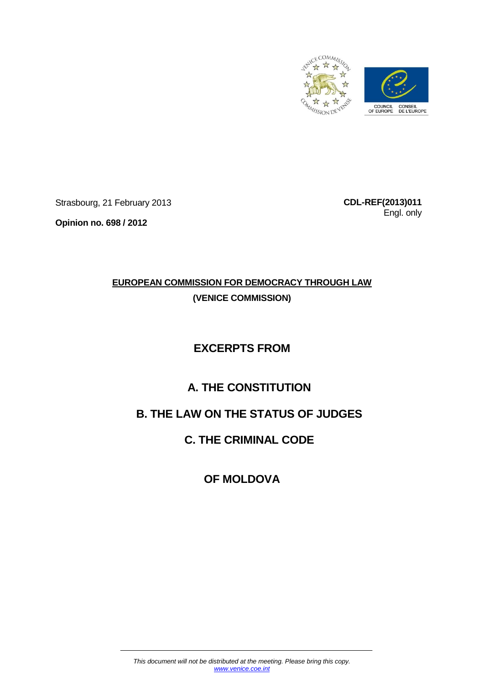

Strasbourg, 21 February 2013

**Opinion no. 698 / 2012**

**CDL-REF(2013)011** Engl. only

# **EUROPEAN COMMISSION FOR DEMOCRACY THROUGH LAW**

**(VENICE COMMISSION)**

## **EXCERPTS FROM**

## **A. THE CONSTITUTION**

## **B. THE LAW ON THE STATUS OF JUDGES**

**C. THE CRIMINAL CODE** 

**OF MOLDOVA**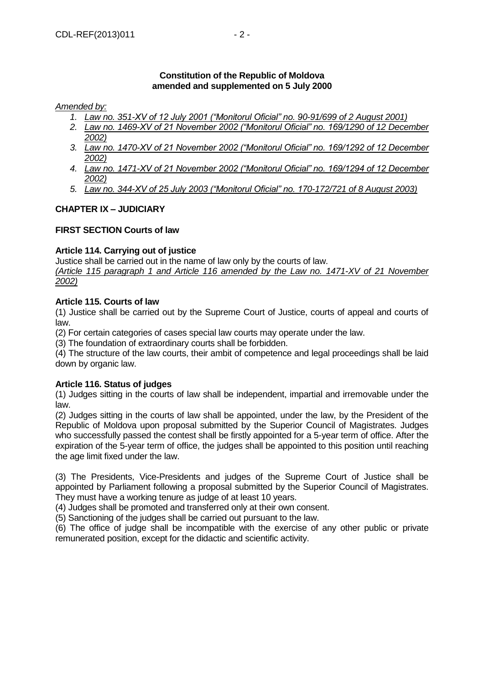#### **Constitution of the Republic of Moldova amended and supplemented on 5 July 2000**

#### *Amended by:*

- *1. Law no. 351-XV of 12 July 2001 ("Monitorul Oficial" no. 90-91/699 of 2 August 2001)*
- *2. Law no. 1469-XV of 21 November 2002 ("Monitorul Oficial" no. 169/1290 of 12 December 2002)*
- *3. Law no. 1470-XV of 21 November 2002 ("Monitorul Oficial" no. 169/1292 of 12 December 2002)*
- *4. Law no. 1471-XV of 21 November 2002 ("Monitorul Oficial" no. 169/1294 of 12 December 2002)*
- *5. Law no. 344-XV of 25 July 2003 ("Monitorul Oficial" no. 170-172/721 of 8 August 2003)*

#### **CHAPTER IX – JUDICIARY**

#### **FIRST SECTION Courts of law**

#### **Article 114. Carrying out of justice**

Justice shall be carried out in the name of law only by the courts of law.

*(Article 115 paragraph 1 and Article 116 amended by the Law no. 1471-XV of 21 November 2002)*

#### **Article 115. Courts of law**

(1) Justice shall be carried out by the Supreme Court of Justice, courts of appeal and courts of law.

(2) For certain categories of cases special law courts may operate under the law.

(3) The foundation of extraordinary courts shall be forbidden.

(4) The structure of the law courts, their ambit of competence and legal proceedings shall be laid down by organic law.

#### **Article 116. Status of judges**

(1) Judges sitting in the courts of law shall be independent, impartial and irremovable under the law.

(2) Judges sitting in the courts of law shall be appointed, under the law, by the President of the Republic of Moldova upon proposal submitted by the Superior Council of Magistrates. Judges who successfully passed the contest shall be firstly appointed for a 5-year term of office. After the expiration of the 5-year term of office, the judges shall be appointed to this position until reaching the age limit fixed under the law.

(3) The Presidents, Vice-Presidents and judges of the Supreme Court of Justice shall be appointed by Parliament following a proposal submitted by the Superior Council of Magistrates. They must have a working tenure as judge of at least 10 years.

(4) Judges shall be promoted and transferred only at their own consent.

(5) Sanctioning of the judges shall be carried out pursuant to the law.

(6) The office of judge shall be incompatible with the exercise of any other public or private remunerated position, except for the didactic and scientific activity.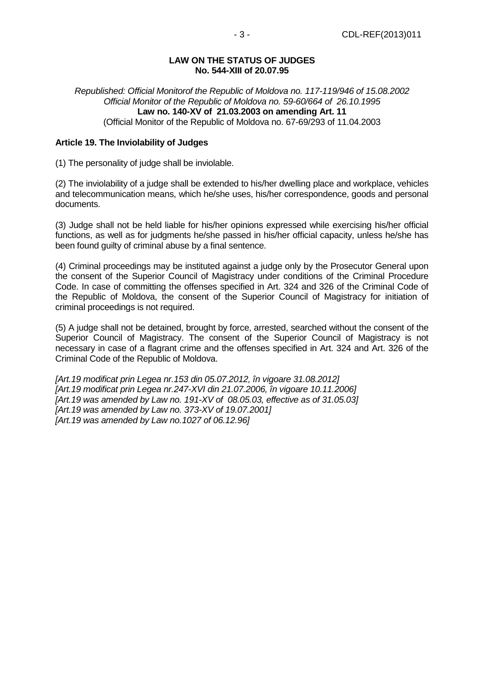#### **LAW ON THE STATUS OF JUDGES No. 544-XIII of 20.07.95**

*Republished: Official Monitorof the Republic of Moldova no. 117-119/946 of 15.08.2002 Official Monitor of the Republic of Moldova no. 59-60/664 of 26.10.1995* **Law no. 140-XV of 21.03.2003 on amending Art. 11** (Official Monitor of the Republic of Moldova no. 67-69/293 of 11.04.2003

#### **Article 19. The Inviolability of Judges**

(1) The personality of judge shall be inviolable.

(2) The inviolability of a judge shall be extended to his/her dwelling place and workplace, vehicles and telecommunication means, which he/she uses, his/her correspondence, goods and personal documents.

(3) Judge shall not be held liable for his/her opinions expressed while exercising his/her official functions, as well as for judgments he/she passed in his/her official capacity, unless he/she has been found guilty of criminal abuse by a final sentence.

(4) Criminal proceedings may be instituted against a judge only by the Prosecutor General upon the consent of the Superior Council of Magistracy under conditions of the Criminal Procedure Code. In case of committing the offenses specified in Art. 324 and 326 of the Criminal Code of the Republic of Moldova, the consent of the Superior Council of Magistracy for initiation of criminal proceedings is not required.

(5) A judge shall not be detained, brought by force, arrested, searched without the consent of the Superior Council of Magistracy. The consent of the Superior Council of Magistracy is not necessary in case of a flagrant crime and the offenses specified in Art. 324 and Art. 326 of the Criminal Code of the Republic of Moldova.

*[Art.19 modificat prin Legea nr.153 din 05.07.2012, în vigoare 31.08.2012] [Art.19 modificat prin Legea nr.247-XVI din 21.07.2006, în vigoare 10.11.2006] [Art.19 was amended by Law no. 191-XV of 08.05.03, effective as of 31.05.03] [Art.19 was amended by Law no. 373-XV of 19.07.2001] [Art.19 was amended by Law no.1027 of 06.12.96]*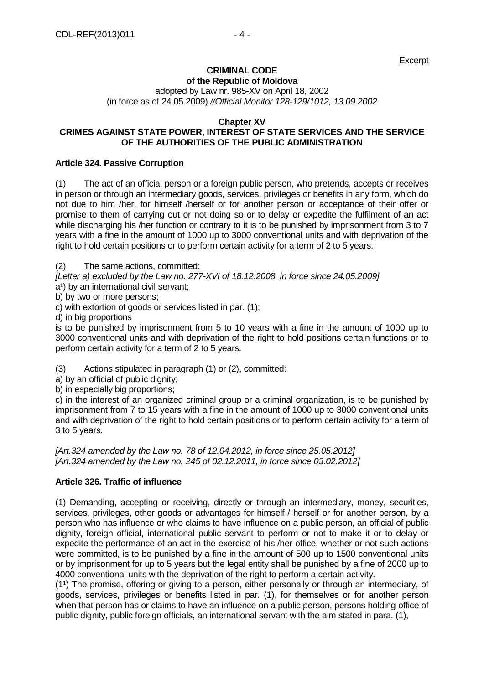**Excerpt** 

# **CRIMINAL CODE**

**of the Republic of Moldova**

adopted by Law nr. 985-XV on April 18, 2002 (in force as of 24.05.2009) *//Official Monitor 128-129/1012, 13.09.2002*

#### **Chapter XV**

#### **CRIMES AGAINST STATE POWER, INTEREST OF STATE SERVICES AND THE SERVICE OF THE AUTHORITIES OF THE PUBLIC ADMINISTRATION**

#### **Article 324. Passive Corruption**

(1) The act of an official person or a foreign public person, who pretends, accepts or receives in person or through an intermediary goods, services, privileges or benefits in any form, which do not due to him /her, for himself /herself or for another person or acceptance of their offer or promise to them of carrying out or not doing so or to delay or expedite the fulfilment of an act while discharging his /her function or contrary to it is to be punished by imprisonment from 3 to 7 years with a fine in the amount of 1000 up to 3000 conventional units and with deprivation of the right to hold certain positions or to perform certain activity for a term of 2 to 5 years.

(2) The same actions, committed:

*[Letter a) excluded by the Law no. 277-XVI of 18.12.2008, in force since 24.05.2009]* 

a<sup>1</sup>) by an international civil servant;

b) by two or more persons;

c) with extortion of goods or services listed in par. (1);

d) in big proportions

is to be punished by imprisonment from 5 to 10 years with a fine in the amount of 1000 up to 3000 conventional units and with deprivation of the right to hold positions certain functions or to perform certain activity for a term of 2 to 5 years.

(3) Actions stipulated in paragraph (1) or (2), committed:

a) by an official of public dignity;

b) in especially big proportions;

c) in the interest of an organized criminal group or a criminal organization, is to be punished by imprisonment from 7 to 15 years with a fine in the amount of 1000 up to 3000 conventional units and with deprivation of the right to hold certain positions or to perform certain activity for a term of 3 to 5 years.

*[Art.324 amended by the Law no. 78 of 12.04.2012, in force since 25.05.2012] [Art.324 amended by the Law no. 245 of 02.12.2011, in force since 03.02.2012]* 

#### **Article 326. Traffic of influence**

(1) Demanding, accepting or receiving, directly or through an intermediary, money, securities, services, privileges, other goods or advantages for himself / herself or for another person, by a person who has influence or who claims to have influence on a public person, an official of public dignity, foreign official, international public servant to perform or not to make it or to delay or expedite the performance of an act in the exercise of his /her office, whether or not such actions were committed, is to be punished by a fine in the amount of 500 up to 1500 conventional units or by imprisonment for up to 5 years but the legal entity shall be punished by a fine of 2000 up to 4000 conventional units with the deprivation of the right to perform a certain activity.

 $(1<sup>1</sup>)$  The promise, offering or giving to a person, either personally or through an intermediary, of goods, services, privileges or benefits listed in par. (1), for themselves or for another person when that person has or claims to have an influence on a public person, persons holding office of public dignity, public foreign officials, an international servant with the aim stated in para. (1),